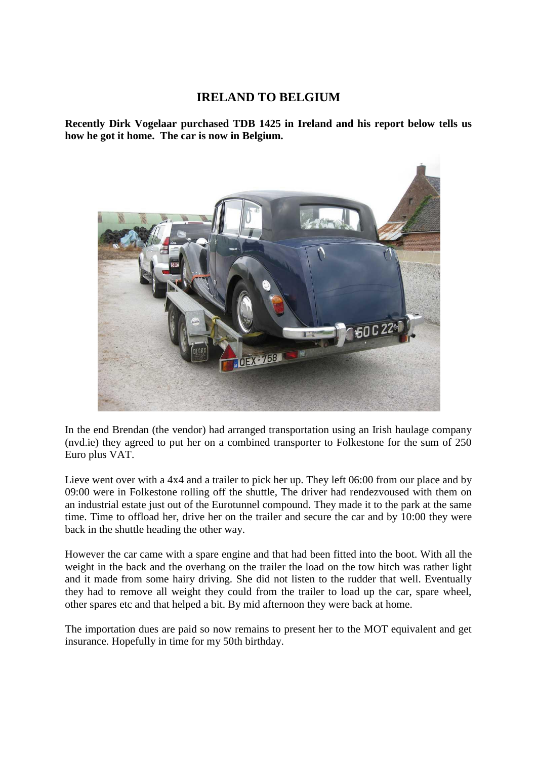## **IRELAND TO BELGIUM**

**Recently Dirk Vogelaar purchased TDB 1425 in Ireland and his report below tells us how he got it home. The car is now in Belgium.**



In the end Brendan (the vendor) had arranged transportation using an Irish haulage company (nvd.ie) they agreed to put her on a combined transporter to Folkestone for the sum of 250 Euro plus VAT.

Lieve went over with a 4x4 and a trailer to pick her up. They left 06:00 from our place and by 09:00 were in Folkestone rolling off the shuttle, The driver had rendezvoused with them on an industrial estate just out of the Eurotunnel compound. They made it to the park at the same time. Time to offload her, drive her on the trailer and secure the car and by 10:00 they were back in the shuttle heading the other way.

However the car came with a spare engine and that had been fitted into the boot. With all the weight in the back and the overhang on the trailer the load on the tow hitch was rather light and it made from some hairy driving. She did not listen to the rudder that well. Eventually they had to remove all weight they could from the trailer to load up the car, spare wheel, other spares etc and that helped a bit. By mid afternoon they were back at home.

The importation dues are paid so now remains to present her to the MOT equivalent and get insurance. Hopefully in time for my 50th birthday.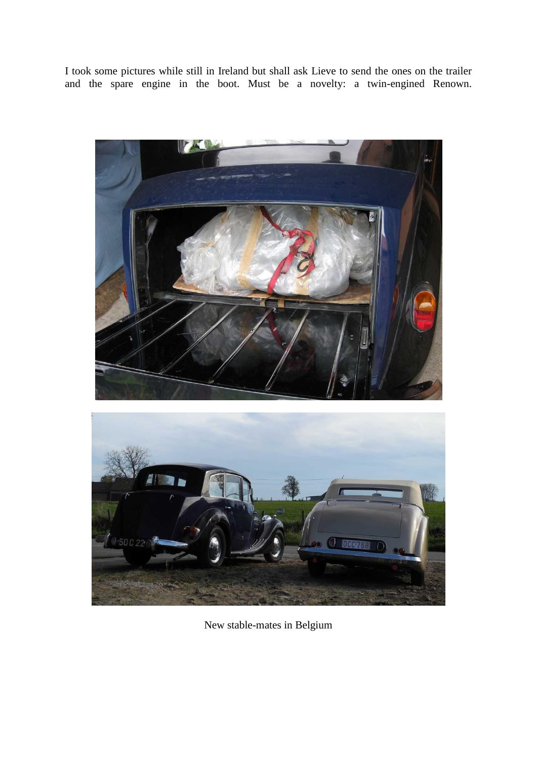I took some pictures while still in Ireland but shall ask Lieve to send the ones on the trailer and the spare engine in the boot. Must be a novelty: a twin-engined Renown.





New stable-mates in Belgium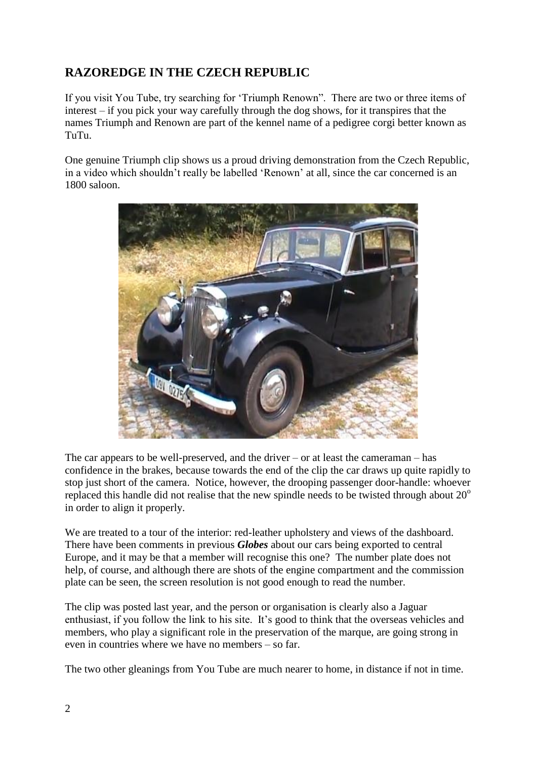## **RAZOREDGE IN THE CZECH REPUBLIC**

If you visit You Tube, try searching for 'Triumph Renown". There are two or three items of interest – if you pick your way carefully through the dog shows, for it transpires that the names Triumph and Renown are part of the kennel name of a pedigree corgi better known as TuTu.

One genuine Triumph clip shows us a proud driving demonstration from the Czech Republic, in a video which shouldn't really be labelled 'Renown' at all, since the car concerned is an 1800 saloon.



The car appears to be well-preserved, and the driver – or at least the cameraman – has confidence in the brakes, because towards the end of the clip the car draws up quite rapidly to stop just short of the camera. Notice, however, the drooping passenger door-handle: whoever replaced this handle did not realise that the new spindle needs to be twisted through about  $20^{\circ}$ in order to align it properly.

We are treated to a tour of the interior: red-leather upholstery and views of the dashboard. There have been comments in previous *Globes* about our cars being exported to central Europe, and it may be that a member will recognise this one? The number plate does not help, of course, and although there are shots of the engine compartment and the commission plate can be seen, the screen resolution is not good enough to read the number.

The clip was posted last year, and the person or organisation is clearly also a Jaguar enthusiast, if you follow the link to his site. It's good to think that the overseas vehicles and members, who play a significant role in the preservation of the marque, are going strong in even in countries where we have no members – so far.

The two other gleanings from You Tube are much nearer to home, in distance if not in time.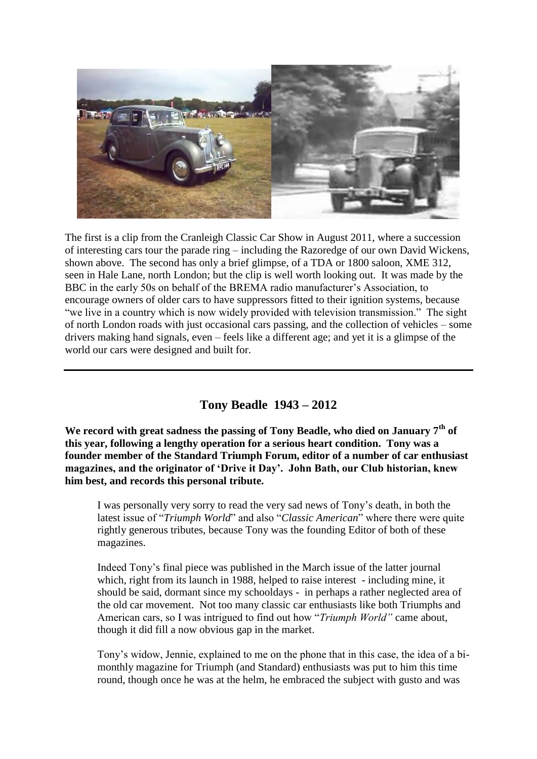![](_page_3_Picture_0.jpeg)

The first is a clip from the Cranleigh Classic Car Show in August 2011, where a succession of interesting cars tour the parade ring – including the Razoredge of our own David Wickens, shown above. The second has only a brief glimpse, of a TDA or 1800 saloon, XME 312, seen in Hale Lane, north London; but the clip is well worth looking out. It was made by the BBC in the early 50s on behalf of the BREMA radio manufacturer's Association, to encourage owners of older cars to have suppressors fitted to their ignition systems, because "we live in a country which is now widely provided with television transmission." The sight of north London roads with just occasional cars passing, and the collection of vehicles – some drivers making hand signals, even – feels like a different age; and yet it is a glimpse of the world our cars were designed and built for.

## **Tony Beadle 1943 – 2012**

**We record with great sadness the passing of Tony Beadle, who died on January 7th of this year, following a lengthy operation for a serious heart condition. Tony was a founder member of the Standard Triumph Forum, editor of a number of car enthusiast magazines, and the originator of 'Drive it Day'. John Bath, our Club historian, knew him best, and records this personal tribute.**

I was personally very sorry to read the very sad news of Tony's death, in both the latest issue of "*Triumph World*" and also "*Classic American*" where there were quite rightly generous tributes, because Tony was the founding Editor of both of these magazines.

Indeed Tony's final piece was published in the March issue of the latter journal which, right from its launch in 1988, helped to raise interest - including mine, it should be said, dormant since my schooldays - in perhaps a rather neglected area of the old car movement. Not too many classic car enthusiasts like both Triumphs and American cars, so I was intrigued to find out how "*Triumph World"* came about, though it did fill a now obvious gap in the market.

Tony's widow, Jennie, explained to me on the phone that in this case, the idea of a bimonthly magazine for Triumph (and Standard) enthusiasts was put to him this time round, though once he was at the helm, he embraced the subject with gusto and was